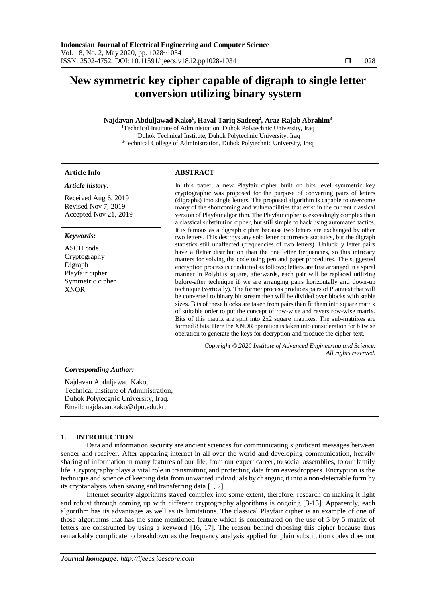# **New symmetric key cipher capable of digraph to single letter conversion utilizing binary system**

# **Najdavan Abduljawad Kako<sup>1</sup> , Haval Tariq Sadeeq<sup>2</sup> , Araz Rajab Abrahim<sup>3</sup>**

<sup>1</sup>Technical Institute of Administration, Duhok Polytechnic University, Iraq <sup>2</sup>Duhok Technical Institute, Duhok Polytechnic University, Iraq <sup>3</sup>Technical College of Administration, Duhok Polytechnic University, Iraq

*Article history:*

# **Article Info ABSTRACT**

Received Aug 6, 2019 Revised Nov 7, 2019 Accepted Nov 21, 2019

# *Keywords:*

ASCII code Cryptography Digraph Playfair cipher Symmetric cipher XNOR

In this paper, a new Playfair cipher built on bits level symmetric key cryptographic was proposed for the purpose of converting pairs of letters (digraphs) into single letters. The proposed algorithm is capable to overcome many of the shortcoming and vulnerabilities that exist in the current classical version of Playfair algorithm. The Playfair cipher is exceedingly complex than a classical substitution cipher, but still simple to hack using automated tactics. It is famous as a digraph cipher because two letters are exchanged by other two letters. This destroys any solo letter occurrence statistics, but the digraph statistics still unaffected (frequencies of two letters). Unluckily letter pairs have a flatter distribution than the one letter frequencies, so this intricacy matters for solving the code using pen and paper procedures. The suggested encryption process is conducted as follows; letters are first arranged in a spiral manner in Polybius square, afterwards, each pair will be replaced utilizing before-after technique if we are arranging pairs horizontally and down-up technique (vertically). The former process produces pairs of Plaintext that will be converted to binary bit stream then will be divided over blocks with stable sizes. Bits of these blocks are taken from pairs then fit them into square matrix of suitable order to put the concept of row-wise and revers row-wise matrix. Bits of this matrix are split into 2x2 square matrixes. The sub-matrixes are formed 8 bits. Here the XNOR operation is taken into consideration for bitwise operation to generate the keys for decryption and produce the cipher-text.

> *Copyright © 2020 Institute of Advanced Engineering and Science. All rights reserved.*

# *Corresponding Author:*

Najdavan Abduljawad Kako, Technical Institute of Administration, Duhok Polytecgnic University, Iraq. Email: najdavan.kako@dpu.edu.krd

# **1. INTRODUCTION**

Data and information security are ancient sciences for communicating significant messages between sender and receiver. After appearing internet in all over the world and developing communication, heavily sharing of information in many features of our life, from our expert career, to social assemblies, to our family life. Cryptography plays a vital role in transmitting and protecting data from eavesdroppers. Encryption is the technique and science of keeping data from unwanted individuals by changing it into a non-detectable form by its cryptanalysis when saving and transferring data [1, 2].

Internet security algorithms stayed complex into some extent, therefore, research on making it light and robust through coming up with different cryptography algorithms is ongoing [3-15]. Apparently, each algorithm has its advantages as well as its limitations. The classical Playfair cipher is an example of one of those algorithms that has the same mentioned feature which is concentrated on the use of 5 by 5 matrix of letters are constructed by using a keyword [16, 17]. The reason behind choosing this cipher because thus remarkably complicate to breakdown as the frequency analysis applied for plain substitution codes does not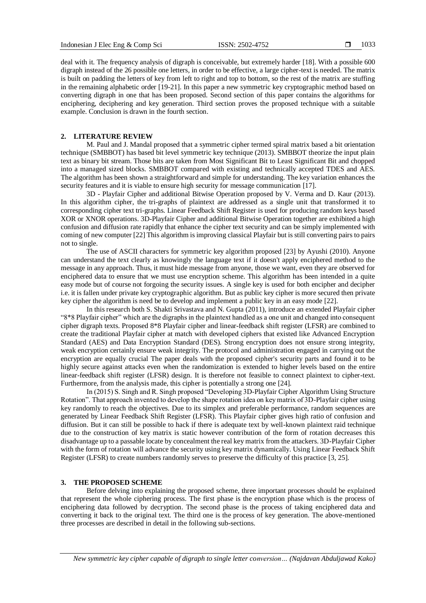deal with it. The frequency analysis of digraph is conceivable, but extremely harder [18]. With a possible 600 digraph instead of the 26 possible one letters, in order to be effective, a large cipher-text is needed. The matrix is built on padding the letters of key from left to right and top to bottom, so the rest of the matrix are stuffing in the remaining alphabetic order [19-21]. In this paper a new symmetric key cryptographic method based on converting digraph in one that has been proposed. Second section of this paper contains the algorithms for enciphering, deciphering and key generation. Third section proves the proposed technique with a suitable example. Conclusion is drawn in the fourth section.

#### **2. LITERATURE REVIEW**

M. Paul and J. Mandal proposed that a symmetric cipher termed spiral matrix based a bit orientation technique (SMBBOT) has based bit level symmetric key technique (2013). SMBBOT theorize the input plain text as binary bit stream. Those bits are taken from Most Significant Bit to Least Significant Bit and chopped into a managed sized blocks. SMBBOT compared with existing and technically accepted TDES and AES. The algorithm has been shown a straightforward and simple for understanding. The key variation enhances the security features and it is viable to ensure high security for message communication [17].

3D - Playfair Cipher and additional Bitwise Operation proposed by V. Verma and D. Kaur (2013). In this algorithm cipher, the tri-graphs of plaintext are addressed as a single unit that transformed it to corresponding cipher text tri-graphs. Linear Feedback Shift Register is used for producing random keys based XOR or XNOR operations. 3D-Playfair Cipher and additional Bitwise Operation together are exhibited a high confusion and diffusion rate rapidly that enhance the cipher text security and can be simply implemented with coming of new computer [22] This algorithm is improving classical Playfair but is still converting pairs to pairs not to single.

The use of ASCII characters for symmetric key algorithm proposed [23] by Ayushi (2010). Anyone can understand the text clearly as knowingly the language text if it doesn't apply enciphered method to the message in any approach. Thus, it must hide message from anyone, those we want, even they are observed for enciphered data to ensure that we must use encryption scheme. This algorithm has been intended in a quite easy mode but of course not forgoing the security issues. A single key is used for both encipher and decipher i.e. it is fallen under private key cryptographic algorithm. But as public key cipher is more secured then private key cipher the algorithm is need be to develop and implement a public key in an easy mode [22].

In this research both S. Shakti Srivastava and N. Gupta (2011), introduce an extended Playfair cipher "8\*8 Playfair cipher" which are the digraphs in the plaintext handled as a one unit and changed into consequent cipher digraph texts. Proposed 8\*8 Playfair cipher and linear-feedback shift register (LFSR) are combined to create the traditional Playfair cipher at match with developed ciphers that existed like Advanced Encryption Standard (AES) and Data Encryption Standard (DES). Strong encryption does not ensure strong integrity, weak encryption certainly ensure weak integrity. The protocol and administration engaged in carrying out the encryption are equally crucial The paper deals with the proposed cipher's security parts and found it to be highly secure against attacks even when the randomization is extended to higher levels based on the entire linear-feedback shift register (LFSR) design. It is therefore not feasible to connect plaintext to cipher-text. Furthermore, from the analysis made, this cipher is potentially a strong one [24].

In (2015) S. Singh and R. Singh proposed "Developing 3D-Playfair Cipher Algorithm Using Structure Rotation". That approach invented to develop the shape rotation idea on key matrix of 3D-Playfair cipher using key randomly to reach the objectives. Due to its simplex and preferable performance, random sequences are generated by Linear Feedback Shift Register (LFSR). This Playfair cipher gives high ratio of confusion and diffusion. But it can still be possible to hack if there is adequate text by well-known plaintext raid technique due to the construction of key matrix is static however contribution of the form of rotation decreases this disadvantage up to a passable locate by concealment the real key matrix from the attackers. 3D-Playfair Cipher with the form of rotation will advance the security using key matrix dynamically. Using Linear Feedback Shift Register (LFSR) to create numbers randomly serves to preserve the difficulty of this practice [3, 25].

### **3. THE PROPOSED SCHEME**

Before delving into explaining the proposed scheme, three important processes should be explained that represent the whole ciphering process. The first phase is the encryption phase which is the process of enciphering data followed by decryption. The second phase is the process of taking enciphered data and converting it back to the original text. The third one is the process of key generation. The above-mentioned three processes are described in detail in the following sub-sections.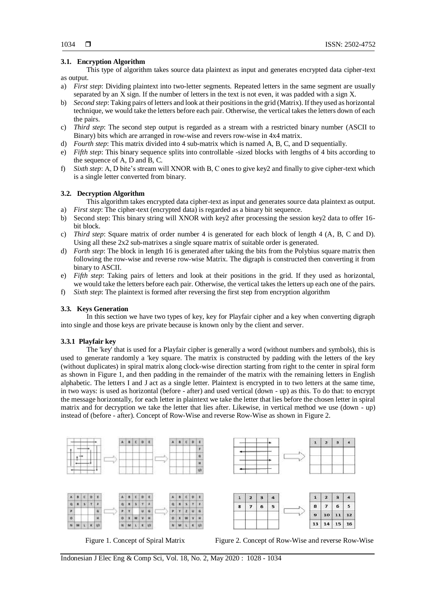## **3.1. Encryption Algorithm**

This type of algorithm takes source data plaintext as input and generates encrypted data cipher-text as output.

- a) *First step*: Dividing plaintext into two-letter segments. Repeated letters in the same segment are usually separated by an X sign. If the number of letters in the text is not even, it was padded with a sign X.
- b) *Second step*: Taking pairs of letters and look at their positions in the grid (Matrix). If they used as horizontal technique, we would take the letters before each pair. Otherwise, the vertical takes the letters down of each the pairs.
- c) *Third step*: The second step output is regarded as a stream with a restricted binary number (ASCII to Binary) bits which are arranged in row-wise and revers row-wise in 4x4 matrix.
- d) *Fourth step*: This matrix divided into 4 sub-matrix which is named A, B, C, and D sequentially.
- e) *Fifth step*: This binary sequence splits into controllable -sized blocks with lengths of 4 bits according to the sequence of A, D and B, C.
- f) *Sixth step*: A, D bite's stream will XNOR with B, C ones to give key2 and finally to give cipher-text which is a single letter converted from binary.

#### **3.2. Decryption Algorithm**

This algorithm takes encrypted data cipher-text as input and generates source data plaintext as output. a) *First step*: The cipher-text (encrypted data) is regarded as a binary bit sequence.

- b) Second step: This binary string will XNOR with key2 after processing the session key2 data to offer 16 bit block.
- c) *Third step*: Square matrix of order number 4 is generated for each block of length 4 (A, B, C and D). Using all these 2x2 sub-matrixes a single square matrix of suitable order is generated.
- d) *Forth step*: The block in length 16 is generated after taking the bits from the Polybius square matrix then following the row-wise and reverse row-wise Matrix. The digraph is constructed then converting it from binary to ASCII.
- e) *Fifth step*: Taking pairs of letters and look at their positions in the grid. If they used as horizontal, we would take the letters before each pair. Otherwise, the vertical takes the letters up each one of the pairs.
- f) *Sixth step*: The plaintext is formed after reversing the first step from encryption algorithm

#### **3.3. Keys Generation**

In this section we have two types of key, key for Playfair cipher and a key when converting digraph into single and those keys are private because is known only by the client and server.

#### **3.3.1 Playfair key**

The 'key' that is used for a Playfair cipher is generally a word (without numbers and symbols), this is used to generate randomly a 'key square. The matrix is constructed by padding with the letters of the key (without duplicates) in spiral matrix along clock-wise direction starting from right to the center in spiral form as shown in Figure 1, and then padding in the remainder of the matrix with the remaining letters in English alphabetic. The letters I and J act as a single letter. Plaintext is encrypted in to two letters at the same time, in two ways: is used as horizontal (before - after) and used vertical (down - up) as this. To do that: to encrypt the message horizontally, for each letter in plaintext we take the letter that lies before the chosen letter in spiral matrix and for decryption we take the letter that lies after. Likewise, in vertical method we use (down - up) instead of (before - after). Concept of Row-Wise and reverse Row-Wise as shown in Figure 2.









Figure 1. Concept of Spiral Matrix Figure 2. Concept of Row-Wise and reverse Row-Wise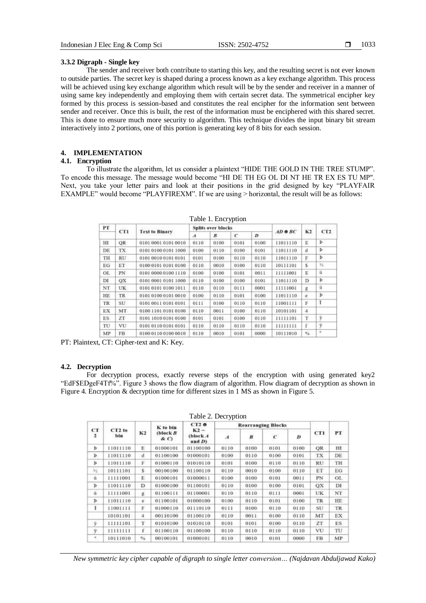#### **3.3.2 Digraph - Single key**

The sender and receiver both contribute to starting this key, and the resulting secret is not ever known to outside parties. The secret key is shaped during a process known as a key exchange algorithm. This process will be achieved using key exchange algorithm which result will be by the sender and receiver in a manner of using same key independently and employing them with certain secret data. The symmetrical encipher key formed by this process is session-based and constitutes the real encipher for the information sent between sender and receiver. Once this is built, the rest of the information must be enciphered with this shared secret. This is done to ensure much more security to algorithm. This technique divides the input binary bit stream interactively into 2 portions, one of this portion is generating key of 8 bits for each session.

## **4. IMPLEMENTATION**

### **4.1. Encryption**

To illustrate the algorithm, let us consider a plaintext "HIDE THE GOLD IN THE TREE STUMP". To encode this message. The message would become "HI DE TH EG OL DI NT HE TR EX ES TU MP". Next, you take your letter pairs and look at their positions in the grid designed by key "PLAYFAIR EXAMPLE" would become "PLAYFIREXM". If we are using > horizontal, the result will be as follows:

|     | Tuole I. Liitt (puoli |                       |                           |      |      |                  |          |               |     |  |  |  |
|-----|-----------------------|-----------------------|---------------------------|------|------|------------------|----------|---------------|-----|--|--|--|
| PT  | cri                   | <b>Text to Binary</b> | <b>Splits over blocks</b> |      |      |                  |          | Colonia       |     |  |  |  |
|     |                       |                       | A                         | R    | c    | $\boldsymbol{D}$ | AD ® BC  | K2            | CT2 |  |  |  |
| HI  | <b>OR</b>             | 0101 0001 0101 0010   | 0110                      | 0100 | 0101 | 0100             | 11011110 | E             | Þ   |  |  |  |
| DE  | TX.                   | 0101 0100 0101 1000   | 0100                      | 0110 | 0100 | 0101             | 11011110 | đ             | Þ   |  |  |  |
| TH  | <b>RU</b>             | 0101 0010 0101 0101   | 0101                      | 0100 | 0110 | 0110             | 11011110 | F             | Þ   |  |  |  |
| EG  | ЕT                    | 0100 0101 0101 0100   | 0110                      | 0010 | 0100 | 0110             | 10111101 | š.            | 35  |  |  |  |
| OL. | PN.                   | 0101 0000 0100 1110   | 0100                      | 0100 | 0101 | 0011             | 11111001 | E             | û   |  |  |  |
| DI  | OX                    | 0101 0001 0101 1000   | 0110                      | 0100 | 0100 | 0101             | 11011110 | D             | Þ   |  |  |  |
| NT. | UK.                   | 0101 0101 0100 1011   | 0110                      | 0110 | 0111 | 0001             | 11111001 | g             | û   |  |  |  |
| HE  | <b>TR</b>             | 0101 0100 0101 0010   | 0100                      | 0110 | 0101 | 0100             | 11011110 | iji.          | Þ   |  |  |  |
| TR  | SU.                   | 0101 0011 0101 0101   | 0111                      | 0100 | 0110 | 0110             | 11001111 | E             | л   |  |  |  |
| ЕX  | MT.                   | 0100 1101 0101 0100   | 0110                      | 0011 | 0100 | 0110             | 10101101 | 4             |     |  |  |  |
| ES. | ZT.                   | 0101 1010 0101 0100   | 0101                      | 0101 | 0100 | 0110             | 11111101 | T             | ý   |  |  |  |
| TU  | VU                    | 0101 0110 0101 0101   | 0110                      | 0110 | 0110 | 0110             | 11111111 | f             | Ÿ   |  |  |  |
| MP  | FB.                   | 0100 0110 0100 0010   | 0110                      | 0010 | 0101 | 0000             | 10111010 | $\frac{9}{6}$ | ٠   |  |  |  |

Table 1. Encryption

PT: Plaintext, CT: Cipher-text and K: Key.

#### **4.2. Decryption**

For decryption process, exactly reverse steps of the encryption with using generated key2 "EdF\$EDgeF4Tf%". Figure 3 shows the flow diagram of algorithm. Flow diagram of decryption as shown in Figure 4. Encryption & decryption time for different sizes in 1 MS as shown in Figure 5.

| CT<br>$\mathbf{z}$ | $CT2$ to<br>bin | K2 | K to bin<br>$block B$<br>$\& O$ | CT2e<br>$K2 -$<br>(block A<br>and D) | <b>Rearranging Blocks</b> |                  |            |             |                 |           |
|--------------------|-----------------|----|---------------------------------|--------------------------------------|---------------------------|------------------|------------|-------------|-----------------|-----------|
|                    |                 |    |                                 |                                      | $\boldsymbol{A}$          | $\boldsymbol{B}$ | $\epsilon$ | D<br>$\sim$ | CT1             | PT        |
| Þ                  | 11011110        | Ε. | 01000101                        | 01100100                             | 0110                      | 0100             | 0101       | 0100        | OR              | н         |
| Þ                  | 11011110        | d  | 01100100                        | 01000101                             | 0100                      | 0110             | 0100       | 0101        | TX              | DE        |
| Þ                  | 11011110        | F  | 01000110                        | 01010110                             | 0101                      | 0100             | 0110       | 0110        | RU              | TH        |
| 34                 | 10111101        | s. | 00100100                        | 01100110                             | 0110                      | 0010             | 0100       | 0110        | ET              | EG        |
| ů                  | 11111001        | Е  | 01000101                        | 01000011                             | 0100                      | 0100             | 0101       | 0011        | PN              | OL.       |
| ъ                  | 11011110        | D  | 01000100                        | 01100101                             | 0110                      | 0100             | 0100       | 0101        | QХ              | DI        |
| û                  | 11111001        | g. | 01100111                        | 01100001                             | 0110                      | 0110             | 0111       | 0001        | UK              | NT        |
| Þ                  | 11011110        | e. | 01100101                        | 01000100                             | 0100                      | 0110             | 0101       | 0100        | <b>TR</b>       | HE.       |
| r                  | 11001111        | F  | 01000110                        | 01110110                             | 0111                      | 0100             | 0110       | 0110        | SU <sup>.</sup> | <b>TR</b> |
|                    | 10101101        | 4  | 00110100                        | 01100110                             | 0110                      | 0011             | 0100       | 0110        | MT              | EX.       |
| Ý.                 | 11111101        | T. | 01010100                        | 01010110                             | 0101                      | 0101             | 0100       | 0110        | 2T              | ES        |
| ÿ                  | 11111111        | f. | 01100110                        | 01100100                             | 0110                      | 0110             | 0110       | 0110        | VU              | TU        |
| 5                  | 10111010        | 96 | 00100101                        | 01000101                             | 0110                      | 0010             | 0101       | 0000        | FB              | MP.       |

Table 2. Decryption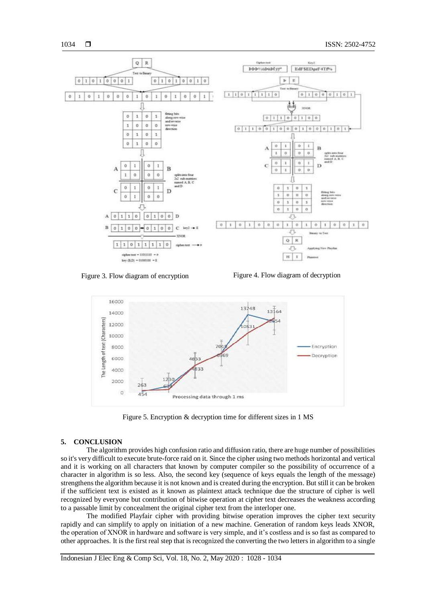

Figure 3. Flow diagram of encryption Figure 4. Flow diagram of decryption



Figure 5. Encryption & decryption time for different sizes in 1 MS

#### **5. CONCLUSION**

The algorithm provides high confusion ratio and diffusion ratio, there are huge number of possibilities so it's very difficult to execute brute-force raid on it. Since the cipher using two methods horizontal and vertical and it is working on all characters that known by computer compiler so the possibility of occurrence of a character in algorithm is so less. Also, the second key (sequence of keys equals the length of the message) strengthens the algorithm because it is not known and is created during the encryption. But still it can be broken if the sufficient text is existed as it known as plaintext attack technique due the structure of cipher is well recognized by everyone but contribution of bitwise operation at cipher text decreases the weakness according to a passable limit by concealment the original cipher text from the interloper one.

The modified Playfair cipher with providing bitwise operation improves the cipher text security rapidly and can simplify to apply on initiation of a new machine. Generation of random keys leads XNOR, the operation of XNOR in hardware and software is very simple, and it's costless and is so fast as compared to other approaches. It is the first real step that is recognized the converting the two letters in algorithm to a single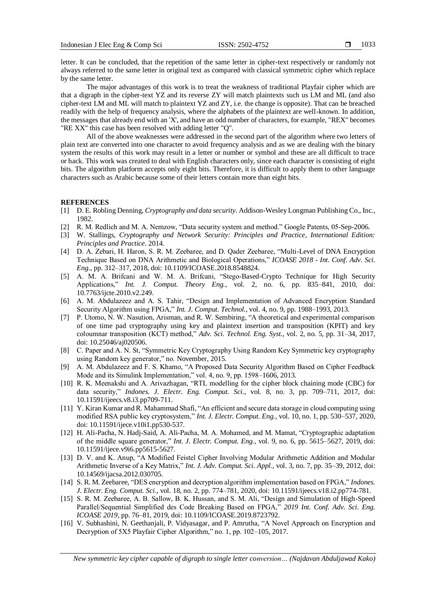letter. It can be concluded, that the repetition of the same letter in cipher-text respectively or randomly not always referred to the same letter in original text as compared with classical symmetric cipher which replace by the same letter.

The major advantages of this work is to treat the weakness of traditional Playfair cipher which are that a digraph in the cipher-text YZ and its reverse ZY will match plaintexts such us LM and ML (and also cipher-text LM and ML will match to plaintext YZ and ZY, i.e. the change is opposite). That can be breached readily with the help of frequency analysis, where the alphabets of the plaintext are well-known. In addition, the messages that already end with an 'X', and have an odd number of characters, for example, "REX" becomes "RE XX" this case has been resolved with adding letter "Q".

All of the above weaknesses were addressed in the second part of the algorithm where two letters of plain text are converted into one character to avoid frequency analysis and as we are dealing with the binary system the results of this work may result in a letter or number or symbol and these are all difficult to trace or hack. This work was created to deal with English characters only, since each character is consisting of eight bits. The algorithm platform accepts only eight bits. Therefore, it is difficult to apply them to other language characters such as Arabic because some of their letters contain more than eight bits.

#### **REFERENCES**

- [1] D. E. Robling Denning, *Cryptography and data security*. Addison-Wesley Longman Publishing Co., Inc., 1982.
- [2] R. M. Redlich and M. A. Nemzow, "Data security system and method." Google Patents, 05-Sep-2006.
- [3] W. Stallings, *Cryptography and Network Security: Principles and Practice, International Edition: Principles and Practice*. 2014.
- [4] D. A. Zebari, H. Haron, S. R. M. Zeebaree, and D. Qader Zeebaree, "Multi-Level of DNA Encryption Technique Based on DNA Arithmetic and Biological Operations," *ICOASE 2018 - Int. Conf. Adv. Sci. Eng.*, pp. 312–317, 2018, doi: 10.1109/ICOASE.2018.8548824.
- [5] A. M. A. Brifcani and W. M. A. Brifcani, "Stego-Based-Crypto Technique for High Security Applications," *Int. J. Comput. Theory Eng.*, vol. 2, no. 6, pp. 835–841, 2010, doi: 10.7763/ijcte.2010.v2.249.
- [6] A. M. Abdulazeez and A. S. Tahir, "Design and Implementation of Advanced Encryption Standard Security Algorithm using FPGA," *Int. J. Comput. Technol.*, vol. 4, no. 9, pp. 1988–1993, 2013.
- [7] P. Utomo, N. W. Nasution, Arisman, and R. W. Sembiring, "A theoretical and experimental comparison of one time pad cryptography using key and plaintext insertion and transposition (KPIT) and key coloumnar transposition (KCT) method," *Adv. Sci. Technol. Eng. Syst.*, vol. 2, no. 5, pp. 31–34, 2017, doi: 10.25046/aj020506.
- [8] C. Paper and A. N. St, "Symmetric Key Cryptography Using Random Key Symmetric key cryptography using Random key generator," no. November, 2015.
- [9] A. M. Abdulazeez and F. S. Khamo, "A Proposed Data Security Algorithm Based on Cipher Feedback Mode and its Simulink Implementation," vol. 4, no. 9, pp. 1598–1606, 2013.
- [10] R. K. Meenakshi and A. Arivazhagan, "RTL modelling for the cipher block chaining mode (CBC) for data security," *Indones. J. Electr. Eng. Comput. Sci.*, vol. 8, no. 3, pp. 709–711, 2017, doi: 10.11591/ijeecs.v8.i3.pp709-711.
- [11] Y. Kiran Kumar and R. Mahammad Shafi, "An efficient and secure data storage in cloud computing using modified RSA public key cryptosystem," *Int. J. Electr. Comput. Eng.*, vol. 10, no. 1, pp. 530–537, 2020, doi: 10.11591/ijece.v10i1.pp530-537.
- [12] H. Ali-Pacha, N. Hadj-Said, A. Ali-Pacha, M. A. Mohamed, and M. Mamat, "Cryptographic adaptation of the middle square generator," *Int. J. Electr. Comput. Eng.*, vol. 9, no. 6, pp. 5615–5627, 2019, doi: 10.11591/ijece.v9i6.pp5615-5627.
- [13] D. V. and K. Anup, "A Modified Feistel Cipher Involving Modular Arithmetic Addition and Modular Arithmetic Inverse of a Key Matrix," *Int. J. Adv. Comput. Sci. Appl.*, vol. 3, no. 7, pp. 35–39, 2012, doi: 10.14569/ijacsa.2012.030705.
- [14] S. R. M. Zeebaree, "DES encryption and decryption algorithm implementation based on FPGA," *Indones. J. Electr. Eng. Comput. Sci.*, vol. 18, no. 2, pp. 774–781, 2020, doi: 10.11591/ijeecs.v18.i2.pp774-781.
- [15] S. R. M. Zeebaree, A. B. Sallow, B. K. Hussan, and S. M. Ali, "Design and Simulation of High-Speed Parallel/Sequential Simplified des Code Breaking Based on FPGA," *2019 Int. Conf. Adv. Sci. Eng. ICOASE 2019*, pp. 76–81, 2019, doi: 10.1109/ICOASE.2019.8723792.
- [16] V. Subhashini, N. Geethanjali, P. Vidyasagar, and P. Amrutha, "A Novel Approach on Encryption and Decryption of 5X5 Playfair Cipher Algorithm," no. 1, pp. 102–105, 2017.